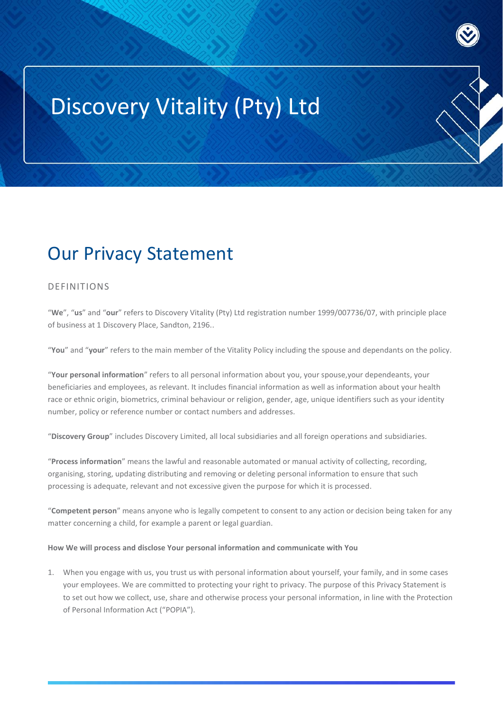## Discovery Vitality (Pty) Ltd

## Our Privacy Statement

## DEFINITIONS

"**We**", "**us**" and "**our**" refers to Discovery Vitality (Pty) Ltd registration number 1999/007736/07, with principle place of business at 1 Discovery Place, Sandton, 2196..

"**You**" and "**your**" refers to the main member of the Vitality Policy including the spouse and dependants on the policy.

"**Your personal information**" refers to all personal information about you, your spouse,your dependeants, your beneficiaries and employees, as relevant. It includes financial information as well as information about your health race or ethnic origin, biometrics, criminal behaviour or religion, gender, age, unique identifiers such as your identity number, policy or reference number or contact numbers and addresses.

"**Discovery Group**" includes Discovery Limited, all local subsidiaries and all foreign operations and subsidiaries.

"**Process information**" means the lawful and reasonable automated or manual activity of collecting, recording, organising, storing, updating distributing and removing or deleting personal information to ensure that such processing is adequate, relevant and not excessive given the purpose for which it is processed.

"**Competent person**" means anyone who is legally competent to consent to any action or decision being taken for any matter concerning a child, for example a parent or legal guardian.

## **How We will process and disclose Your personal information and communicate with You**

1. When you engage with us, you trust us with personal information about yourself, your family, and in some cases your employees. We are committed to protecting your right to privacy. The purpose of this Privacy Statement is to set out how we collect, use, share and otherwise process your personal information, in line with the Protection of Personal Information Act ("POPIA").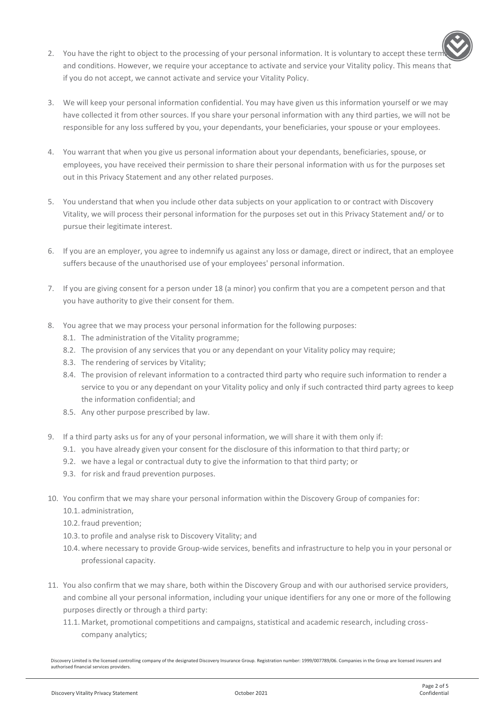- 2. You have the right to object to the processing of your personal information. It is voluntary to accept these te and conditions. However, we require your acceptance to activate and service your Vitality policy. This means that if you do not accept, we cannot activate and service your Vitality Policy.
- 3. We will keep your personal information confidential. You may have given us this information yourself or we may have collected it from other sources. If you share your personal information with any third parties, we will not be responsible for any loss suffered by you, your dependants, your beneficiaries, your spouse or your employees.
- 4. You warrant that when you give us personal information about your dependants, beneficiaries, spouse, or employees, you have received their permission to share their personal information with us for the purposes set out in this Privacy Statement and any other related purposes.
- 5. You understand that when you include other data subjects on your application to or contract with Discovery Vitality, we will process their personal information for the purposes set out in this Privacy Statement and/ or to pursue their legitimate interest.
- 6. If you are an employer, you agree to indemnify us against any loss or damage, direct or indirect, that an employee suffers because of the unauthorised use of your employees' personal information.
- 7. If you are giving consent for a person under 18 (a minor) you confirm that you are a competent person and that you have authority to give their consent for them.
- 8. You agree that we may process your personal information for the following purposes:
	- 8.1. The administration of the Vitality programme;
	- 8.2. The provision of any services that you or any dependant on your Vitality policy may require;
	- 8.3. The rendering of services by Vitality;
	- 8.4. The provision of relevant information to a contracted third party who require such information to render a service to you or any dependant on your Vitality policy and only if such contracted third party agrees to keep the information confidential; and
	- 8.5. Any other purpose prescribed by law.
- 9. If a third party asks us for any of your personal information, we will share it with them only if:
	- 9.1. you have already given your consent for the disclosure of this information to that third party; or
	- 9.2. we have a legal or contractual duty to give the information to that third party; or
	- 9.3. for risk and fraud prevention purposes.
- 10. You confirm that we may share your personal information within the Discovery Group of companies for: 10.1. administration,
	- 10.2.fraud prevention;
	- 10.3.to profile and analyse risk to Discovery Vitality; and
	- 10.4. where necessary to provide Group-wide services, benefits and infrastructure to help you in your personal or professional capacity.
- 11. You also confirm that we may share, both within the Discovery Group and with our authorised service providers, and combine all your personal information, including your unique identifiers for any one or more of the following purposes directly or through a third party:
	- 11.1. Market, promotional competitions and campaigns, statistical and academic research, including crosscompany analytics;

Discovery Limited is the licensed controlling company of the designated Discovery Insurance Group. Registration number: 1999/007789/06. Companies in the Group are licensed insurers and authorised financial services providers.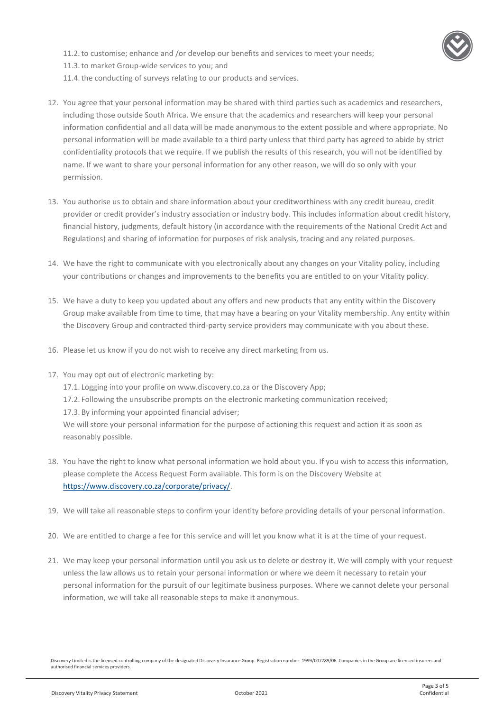11.2.to customise; enhance and /or develop our benefits and services to meet your needs;



- 11.3.to market Group-wide services to you; and
- 11.4.the conducting of surveys relating to our products and services.
- 12. You agree that your personal information may be shared with third parties such as academics and researchers, including those outside South Africa. We ensure that the academics and researchers will keep your personal information confidential and all data will be made anonymous to the extent possible and where appropriate. No personal information will be made available to a third party unless that third party has agreed to abide by strict confidentiality protocols that we require. If we publish the results of this research, you will not be identified by name. If we want to share your personal information for any other reason, we will do so only with your permission.
- 13. You authorise us to obtain and share information about your creditworthiness with any credit bureau, credit provider or credit provider's industry association or industry body. This includes information about credit history, financial history, judgments, default history (in accordance with the requirements of the National Credit Act and Regulations) and sharing of information for purposes of risk analysis, tracing and any related purposes.
- 14. We have the right to communicate with you electronically about any changes on your Vitality policy, including your contributions or changes and improvements to the benefits you are entitled to on your Vitality policy.
- 15. We have a duty to keep you updated about any offers and new products that any entity within the Discovery Group make available from time to time, that may have a bearing on your Vitality membership. Any entity within the Discovery Group and contracted third-party service providers may communicate with you about these.
- 16. Please let us know if you do not wish to receive any direct marketing from us.
- 17. You may opt out of electronic marketing by:
	- 17.1. Logging into your profile on www.discovery.co.za or the Discovery App;
	- 17.2. Following the unsubscribe prompts on the electronic marketing communication received;
	- 17.3. By informing your appointed financial adviser;

We will store your personal information for the purpose of actioning this request and action it as soon as reasonably possible.

- 18. You have the right to know what personal information we hold about you. If you wish to access this information, please complete the Access Request Form available. This form is on the Discovery Website at [https://www.discovery.co.za/corporate/privacy/.](https://www.discovery.co.za/corporate/privacy/)
- 19. We will take all reasonable steps to confirm your identity before providing details of your personal information.
- 20. We are entitled to charge a fee for this service and will let you know what it is at the time of your request.
- 21. We may keep your personal information until you ask us to delete or destroy it. We will comply with your request unless the law allows us to retain your personal information or where we deem it necessary to retain your personal information for the pursuit of our legitimate business purposes. Where we cannot delete your personal information, we will take all reasonable steps to make it anonymous.

Discovery Limited is the licensed controlling company of the designated Discovery Insurance Group. Registration number: 1999/007789/06. Companies in the Group are licensed insurers and authorised financial services providers.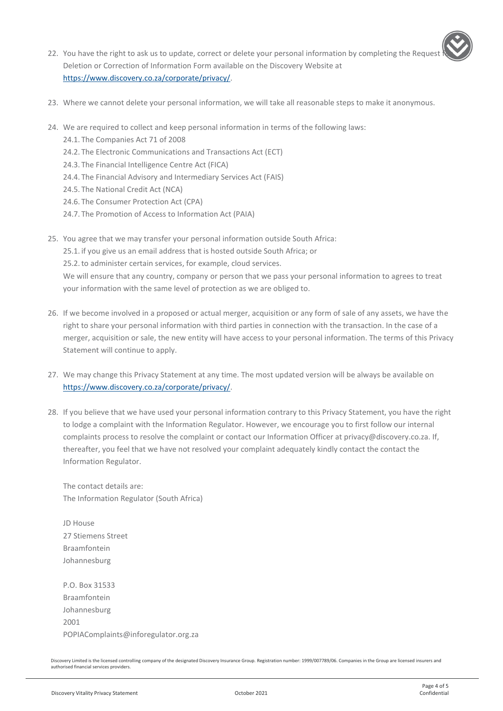- 22. You have the right to ask us to update, correct or delete your personal information by completing the Reques Deletion or Correction of Information Form available on the Discovery Website at [https://www.discovery.co.za/corporate/privacy/.](https://www.discovery.co.za/corporate/privacy/)
- 23. Where we cannot delete your personal information, we will take all reasonable steps to make it anonymous.
- 24. We are required to collect and keep personal information in terms of the following laws:
	- 24.1. The Companies Act 71 of 2008
	- 24.2. The Electronic Communications and Transactions Act (ECT)
	- 24.3. The Financial Intelligence Centre Act (FICA)
	- 24.4. The Financial Advisory and Intermediary Services Act (FAIS)
	- 24.5. The National Credit Act (NCA)
	- 24.6. The Consumer Protection Act (CPA)
	- 24.7. The Promotion of Access to Information Act (PAIA)
- 25. You agree that we may transfer your personal information outside South Africa: 25.1. if you give us an email address that is hosted outside South Africa; or 25.2.to administer certain services, for example, cloud services. We will ensure that any country, company or person that we pass your personal information to agrees to treat your information with the same level of protection as we are obliged to.
- 26. If we become involved in a proposed or actual merger, acquisition or any form of sale of any assets, we have the right to share your personal information with third parties in connection with the transaction. In the case of a merger, acquisition or sale, the new entity will have access to your personal information. The terms of this Privacy Statement will continue to apply.
- 27. We may change this Privacy Statement at any time. The most updated version will be always be available on [https://www.discovery.co.za/corporate/privacy/.](https://www.discovery.co.za/corporate/privacy/)
- 28. If you believe that we have used your personal information contrary to this Privacy Statement, you have the right to lodge a complaint with the Information Regulator. However, we encourage you to first follow our internal complaints process to resolve the complaint or contact our Information Officer at privacy@discovery.co.za. If, thereafter, you feel that we have not resolved your complaint adequately kindly contact the contact the Information Regulator.

The contact details are: The Information Regulator (South Africa)

JD House 27 Stiemens Street Braamfontein Johannesburg

P.O. Box 31533 Braamfontein Johannesburg 2001 POPIAComplaints@inforegulator.org.za

Discovery Limited is the licensed controlling company of the designated Discovery Insurance Group. Registration number: 1999/007789/06. Companies in the Group are licensed insurers and authorised financial services providers.